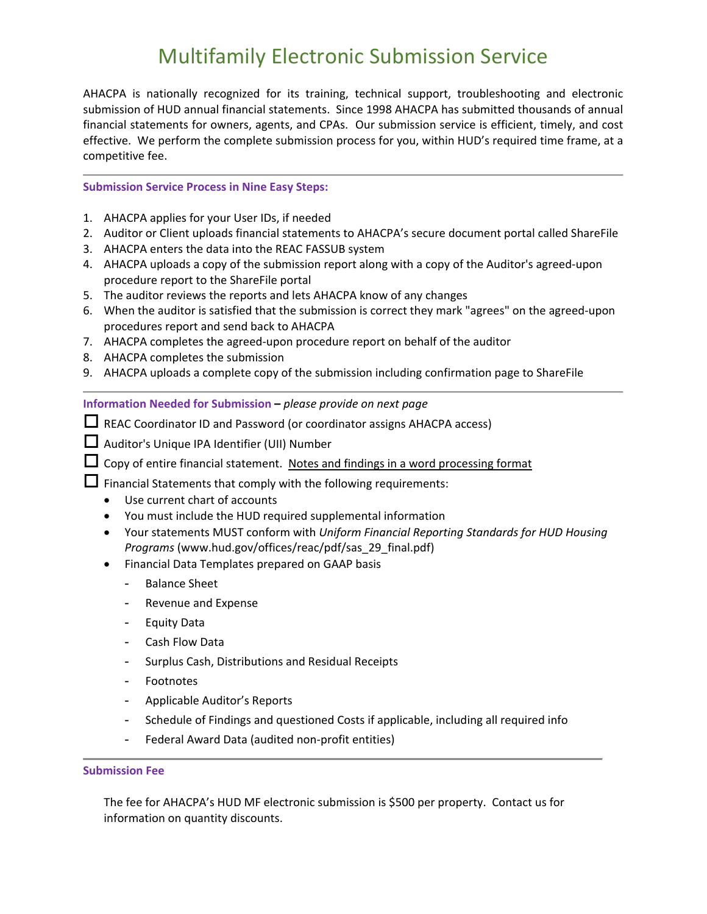# Multifamily Electronic Submission Service

AHACPA is nationally recognized for its training, technical support, troubleshooting and electronic submission of HUD annual financial statements. Since 1998 AHACPA has submitted thousands of annual financial statements for owners, agents, and CPAs. Our submission service is efficient, timely, and cost effective. We perform the complete submission process for you, within HUD's required time frame, at a competitive fee.

#### **Submission Service Process in Nine Easy Steps:**

- 1. AHACPA applies for your User IDs, if needed
- 2. Auditor or Client uploads financial statements to AHACPA's secure document portal called ShareFile
- 3. AHACPA enters the data into the REAC FASSUB system
- 4. AHACPA uploads a copy of the submission report along with a copy of the Auditor's agreed‐upon procedure report to the ShareFile portal
- 5. The auditor reviews the reports and lets AHACPA know of any changes
- 6. When the auditor is satisfied that the submission is correct they mark "agrees" on the agreed‐upon procedures report and send back to AHACPA
- 7. AHACPA completes the agreed‐upon procedure report on behalf of the auditor
- 8. AHACPA completes the submission
- 9. AHACPA uploads a complete copy of the submission including confirmation page to ShareFile

**Information Needed for Submission –** *please provide on next page*

 $\Box$  REAC Coordinator ID and Password (or coordinator assigns AHACPA access)

- Auditor's Unique IPA Identifier (UII) Number
- $\Box$  Copy of entire financial statement. Notes and findings in a word processing format

 $\Box$  Financial Statements that comply with the following requirements:

- Use current chart of accounts
- You must include the HUD required supplemental information
- Your statements MUST conform with *Uniform Financial Reporting Standards for HUD Housing Programs* (www.hud.gov/offices/reac/pdf/sas\_29\_final.pdf)
- Financial Data Templates prepared on GAAP basis
	- Balance Sheet
	- Revenue and Expense
	- Equity Data
	- Cash Flow Data
	- Surplus Cash, Distributions and Residual Receipts
	- Footnotes
	- Applicable Auditor's Reports
	- Schedule of Findings and questioned Costs if applicable, including all required info
	- Federal Award Data (audited non‐profit entities)

#### **Submission Fee**

The fee for AHACPA's HUD MF electronic submission is \$500 per property. Contact us for information on quantity discounts.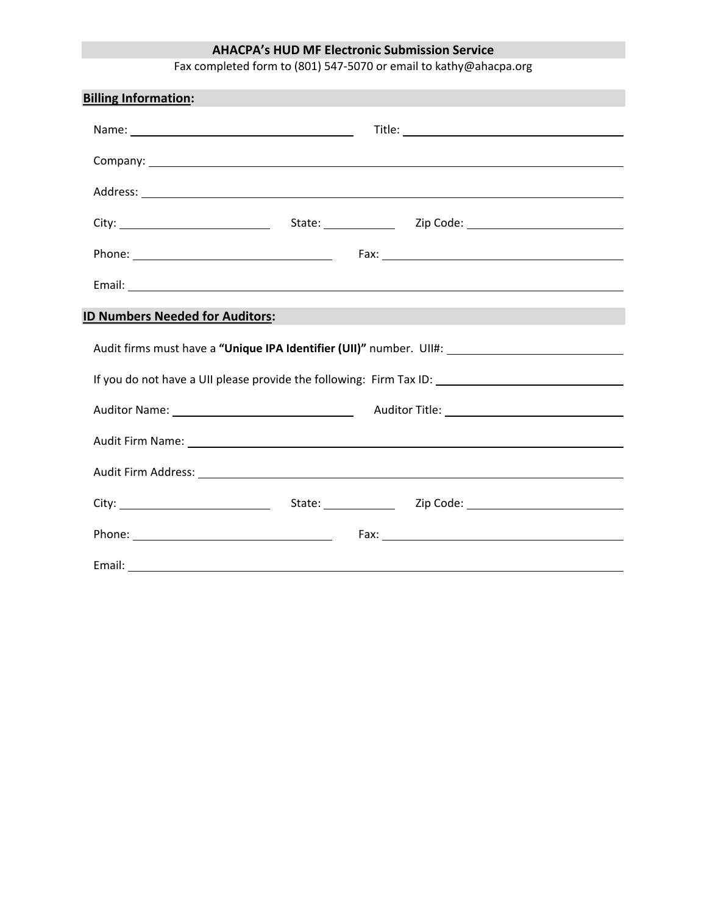# **AHACPA's HUD MF Electronic Submission Service**

Fax completed form to (801) 547‐5070 or email to kathy@ahacpa.org

| <b>Billing Information:</b>                                                                                                                  |  |  |                                   |  |  |  |  |
|----------------------------------------------------------------------------------------------------------------------------------------------|--|--|-----------------------------------|--|--|--|--|
|                                                                                                                                              |  |  |                                   |  |  |  |  |
|                                                                                                                                              |  |  |                                   |  |  |  |  |
|                                                                                                                                              |  |  |                                   |  |  |  |  |
|                                                                                                                                              |  |  |                                   |  |  |  |  |
|                                                                                                                                              |  |  |                                   |  |  |  |  |
|                                                                                                                                              |  |  |                                   |  |  |  |  |
| <b>ID Numbers Needed for Auditors:</b>                                                                                                       |  |  |                                   |  |  |  |  |
| Audit firms must have a "Unique IPA Identifier (UII)" number. UII#: \\equality firms must have a "Unique IPA Identifier (UII)" number. UII#: |  |  |                                   |  |  |  |  |
|                                                                                                                                              |  |  |                                   |  |  |  |  |
|                                                                                                                                              |  |  |                                   |  |  |  |  |
|                                                                                                                                              |  |  | Audit Firm Name: Audit Firm Name: |  |  |  |  |
|                                                                                                                                              |  |  |                                   |  |  |  |  |
|                                                                                                                                              |  |  |                                   |  |  |  |  |
|                                                                                                                                              |  |  |                                   |  |  |  |  |
|                                                                                                                                              |  |  |                                   |  |  |  |  |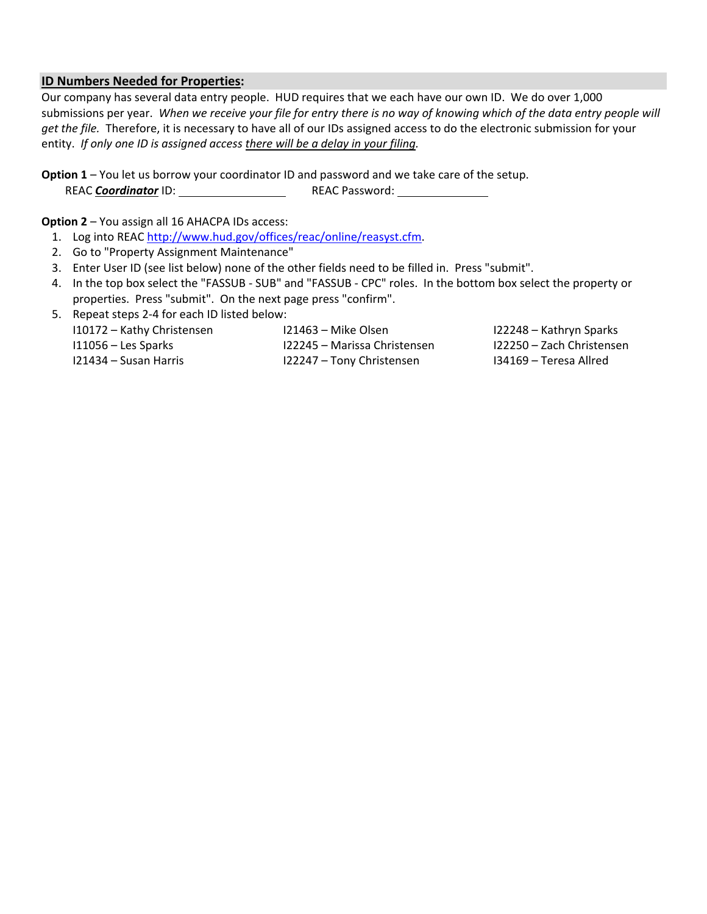### **ID Numbers Needed for Properties:**

Our company has several data entry people. HUD requires that we each have our own ID. We do over 1,000 submissions per year. *When we receive your file for entry there is no way of knowing which of the data entry people will get the file.* Therefore, it is necessary to have all of our IDs assigned access to do the electronic submission for your entity. If only one ID is assigned access there will be a delay in your filing.

**Option 1** – You let us borrow your coordinator ID and password and we take care of the setup. REAC *Coordinator* ID: REAC Password:

**Option 2** – You assign all 16 AHACPA IDs access:

- 1. Log into REAC http://www.hud.gov/offices/reac/online/reasyst.cfm.
- 2. Go to "Property Assignment Maintenance"
- 3. Enter User ID (see list below) none of the other fields need to be filled in. Press "submit".
- 4. In the top box select the "FASSUB ‐ SUB" and "FASSUB ‐ CPC" roles. In the bottom box select the property or properties. Press "submit". On the next page press "confirm".
- 5. Repeat steps 2-4 for each ID listed below:

| 110172 – Kathy Christensen | 121463 – Mike Olsen            | 122248 – Kathryn Sparks     |
|----------------------------|--------------------------------|-----------------------------|
| 111056 – Les Sparks        | - I22245 – Marissa Christensen | - I22250 – Zach Christensen |
| 121434 – Susan Harris      | I22247 – Tony Christensen      | 134169 – Teresa Allred      |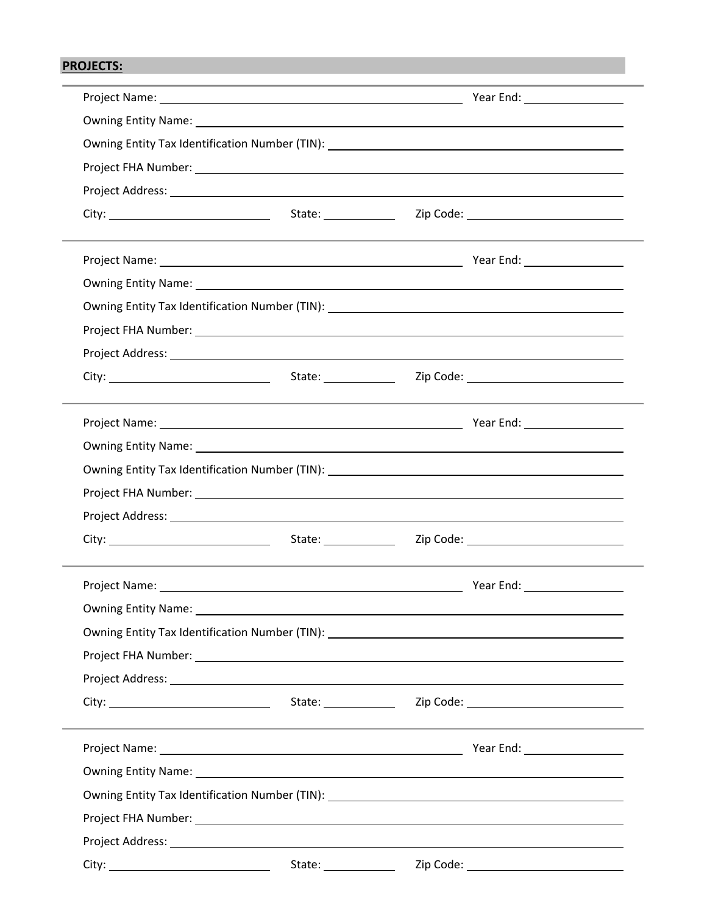# **PROJECTS:**

| Owning Entity Name: 1988 Contract Contract Contract Contract Contract Contract Contract Contract Contract Contract Contract Contract Contract Contract Contract Contract Contract Contract Contract Contract Contract Contract |                       |  |
|--------------------------------------------------------------------------------------------------------------------------------------------------------------------------------------------------------------------------------|-----------------------|--|
| Owning Entity Tax Identification Number (TIN): __________________________________                                                                                                                                              |                       |  |
|                                                                                                                                                                                                                                |                       |  |
|                                                                                                                                                                                                                                |                       |  |
|                                                                                                                                                                                                                                |                       |  |
|                                                                                                                                                                                                                                |                       |  |
|                                                                                                                                                                                                                                |                       |  |
|                                                                                                                                                                                                                                |                       |  |
|                                                                                                                                                                                                                                |                       |  |
|                                                                                                                                                                                                                                |                       |  |
|                                                                                                                                                                                                                                |                       |  |
|                                                                                                                                                                                                                                |                       |  |
|                                                                                                                                                                                                                                |                       |  |
| Owning Entity Tax Identification Number (TIN): __________________________________                                                                                                                                              |                       |  |
|                                                                                                                                                                                                                                |                       |  |
|                                                                                                                                                                                                                                |                       |  |
|                                                                                                                                                                                                                                |                       |  |
|                                                                                                                                                                                                                                |                       |  |
|                                                                                                                                                                                                                                |                       |  |
| Owning Entity Tax Identification Number (TIN): __________________________________                                                                                                                                              |                       |  |
|                                                                                                                                                                                                                                |                       |  |
| Project Address: National Project Address: National Project Address: National Project Address: National Project                                                                                                                |                       |  |
|                                                                                                                                                                                                                                |                       |  |
|                                                                                                                                                                                                                                |                       |  |
| Owning Entity Name: 1988 Contract Contract Contract Contract Contract Contract Contract Contract Contract Contract Contract Contract Contract Contract Contract Contract Contract Contract Contract Contract Contract Contract |                       |  |
|                                                                                                                                                                                                                                |                       |  |
|                                                                                                                                                                                                                                |                       |  |
|                                                                                                                                                                                                                                |                       |  |
|                                                                                                                                                                                                                                | State: ______________ |  |